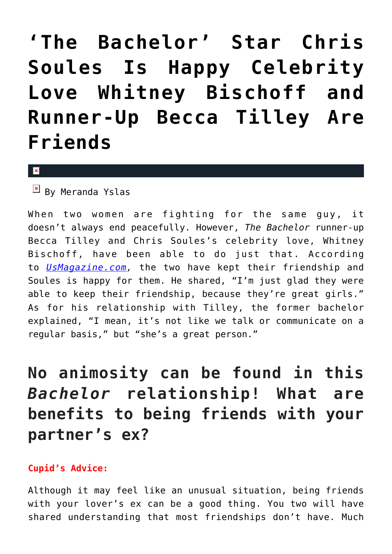## **['The Bachelor' Star Chris](https://cupidspulse.com/90642/the-bachelor-chris-soules-celebrity-love-whitney-bischoff-becca-tilley/) [Soules Is Happy Celebrity](https://cupidspulse.com/90642/the-bachelor-chris-soules-celebrity-love-whitney-bischoff-becca-tilley/) [Love Whitney Bischoff and](https://cupidspulse.com/90642/the-bachelor-chris-soules-celebrity-love-whitney-bischoff-becca-tilley/) [Runner-Up Becca Tilley Are](https://cupidspulse.com/90642/the-bachelor-chris-soules-celebrity-love-whitney-bischoff-becca-tilley/) [Friends](https://cupidspulse.com/90642/the-bachelor-chris-soules-celebrity-love-whitney-bischoff-becca-tilley/)**

 $\mathbf{x}$ 

 $\boxed{\times}$  By Meranda Yslas

When two women are fighting for the same guy, it doesn't always end peacefully. However, *The Bachelor* runner-up Becca Tilley and Chris Soules's celebrity love, Whitney Bischoff, have been able to do just that. According to *[UsMagazine.com](http://www.usmagazine.com/entertainment/news/chris-soules-glad-fiancee-whitney-bischoff-becca-tilley-are-friends-201574),* the two have kept their friendship and Soules is happy for them. He shared, "I'm just glad they were able to keep their friendship, because they're great girls." As for his relationship with Tilley, the former bachelor explained, "I mean, it's not like we talk or communicate on a regular basis," but "she's a great person."

**No animosity can be found in this** *Bachelor* **relationship! What are benefits to being friends with your partner's ex?**

## **Cupid's Advice:**

Although it may feel like an unusual situation, being friends with your lover's ex can be a good thing. You two will have shared understanding that most friendships don't have. Much